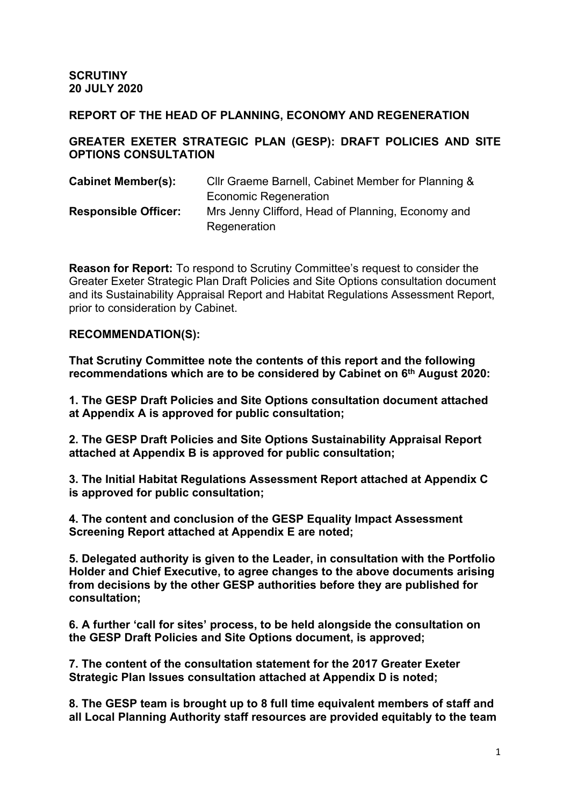**SCRUTINY 20 JULY 2020**

#### **REPORT OF THE HEAD OF PLANNING, ECONOMY AND REGENERATION**

**GREATER EXETER STRATEGIC PLAN (GESP): DRAFT POLICIES AND SITE OPTIONS CONSULTATION**

| <b>Cabinet Member(s):</b>   | CIIr Graeme Barnell, Cabinet Member for Planning & |
|-----------------------------|----------------------------------------------------|
|                             | <b>Economic Regeneration</b>                       |
| <b>Responsible Officer:</b> | Mrs Jenny Clifford, Head of Planning, Economy and  |
|                             | Regeneration                                       |

**Reason for Report:** To respond to Scrutiny Committee's request to consider the Greater Exeter Strategic Plan Draft Policies and Site Options consultation document and its Sustainability Appraisal Report and Habitat Regulations Assessment Report, prior to consideration by Cabinet.

#### **RECOMMENDATION(S):**

**That Scrutiny Committee note the contents of this report and the following recommendations which are to be considered by Cabinet on 6 th August 2020:**

**1. The GESP Draft Policies and Site Options consultation document attached at Appendix A is approved for public consultation;**

**2. The GESP Draft Policies and Site Options Sustainability Appraisal Report attached at Appendix B is approved for public consultation;**

**3. The Initial Habitat Regulations Assessment Report attached at Appendix C is approved for public consultation;**

**4. The content and conclusion of the GESP Equality Impact Assessment Screening Report attached at Appendix E are noted;** 

**5. Delegated authority is given to the Leader, in consultation with the Portfolio Holder and Chief Executive, to agree changes to the above documents arising from decisions by the other GESP authorities before they are published for consultation;**

**6. A further 'call for sites' process, to be held alongside the consultation on the GESP Draft Policies and Site Options document, is approved;**

**7. The content of the consultation statement for the 2017 Greater Exeter Strategic Plan Issues consultation attached at Appendix D is noted;**

**8. The GESP team is brought up to 8 full time equivalent members of staff and all Local Planning Authority staff resources are provided equitably to the team**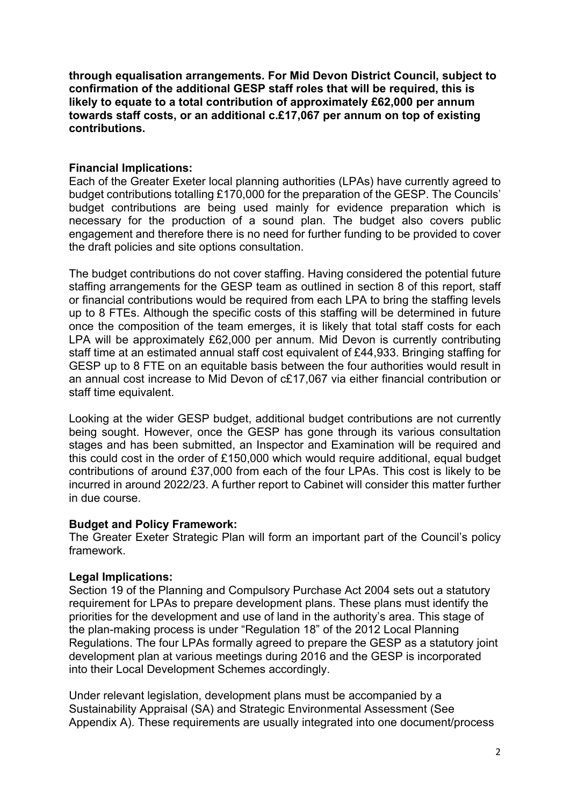**through equalisation arrangements. For Mid Devon District Council, subject to confirmation of the additional GESP staff roles that will be required, this is likely to equate to a total contribution of approximately £62,000 per annum towards staff costs, or an additional c.£17,067 per annum on top of existing contributions.**

### **Financial Implications:**

Each of the Greater Exeter local planning authorities (LPAs) have currently agreed to budget contributions totalling £170,000 for the preparation of the GESP. The Councils' budget contributions are being used mainly for evidence preparation which is necessary for the production of a sound plan. The budget also covers public engagement and therefore there is no need for further funding to be provided to cover the draft policies and site options consultation.

The budget contributions do not cover staffing. Having considered the potential future staffing arrangements for the GESP team as outlined in section 8 of this report, staff or financial contributions would be required from each LPA to bring the staffing levels up to 8 FTEs. Although the specific costs of this staffing will be determined in future once the composition of the team emerges, it is likely that total staff costs for each LPA will be approximately £62,000 per annum. Mid Devon is currently contributing staff time at an estimated annual staff cost equivalent of £44,933. Bringing staffing for GESP up to 8 FTE on an equitable basis between the four authorities would result in an annual cost increase to Mid Devon of c£17,067 via either financial contribution or staff time equivalent.

Looking at the wider GESP budget, additional budget contributions are not currently being sought. However, once the GESP has gone through its various consultation stages and has been submitted, an Inspector and Examination will be required and this could cost in the order of £150,000 which would require additional, equal budget contributions of around £37,000 from each of the four LPAs. This cost is likely to be incurred in around 2022/23. A further report to Cabinet will consider this matter further in due course.

#### **Budget and Policy Framework:**

The Greater Exeter Strategic Plan will form an important part of the Council's policy framework.

### **Legal Implications:**

Section 19 of the Planning and Compulsory Purchase Act 2004 sets out a statutory requirement for LPAs to prepare development plans. These plans must identify the priorities for the development and use of land in the authority's area. This stage of the plan-making process is under "Regulation 18" of the 2012 Local Planning Regulations. The four LPAs formally agreed to prepare the GESP as a statutory joint development plan at various meetings during 2016 and the GESP is incorporated into their Local Development Schemes accordingly.

Under relevant legislation, development plans must be accompanied by a Sustainability Appraisal (SA) and Strategic Environmental Assessment (See Appendix A). These requirements are usually integrated into one document/process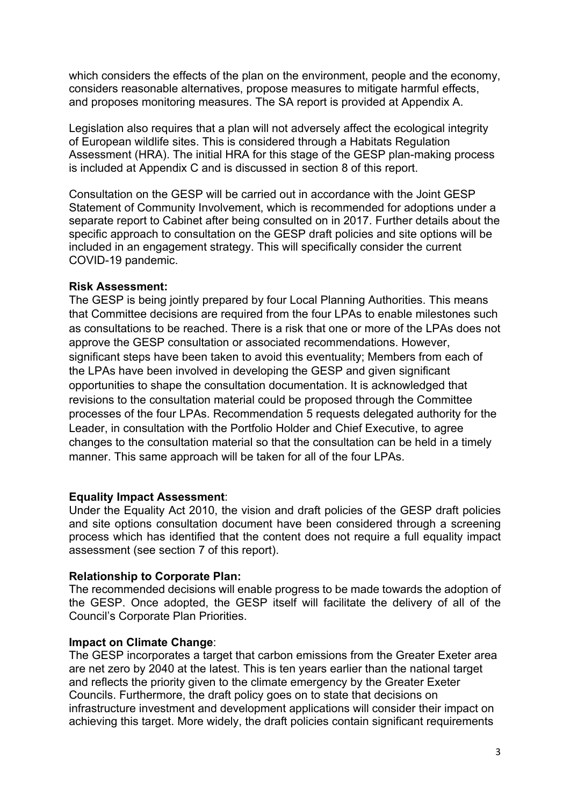which considers the effects of the plan on the environment, people and the economy, considers reasonable alternatives, propose measures to mitigate harmful effects, and proposes monitoring measures. The SA report is provided at Appendix A.

Legislation also requires that a plan will not adversely affect the ecological integrity of European wildlife sites. This is considered through a Habitats Regulation Assessment (HRA). The initial HRA for this stage of the GESP plan-making process is included at Appendix C and is discussed in section 8 of this report.

Consultation on the GESP will be carried out in accordance with the Joint GESP Statement of Community Involvement, which is recommended for adoptions under a separate report to Cabinet after being consulted on in 2017. Further details about the specific approach to consultation on the GESP draft policies and site options will be included in an engagement strategy. This will specifically consider the current COVID-19 pandemic.

#### **Risk Assessment:**

The GESP is being jointly prepared by four Local Planning Authorities. This means that Committee decisions are required from the four LPAs to enable milestones such as consultations to be reached. There is a risk that one or more of the LPAs does not approve the GESP consultation or associated recommendations. However, significant steps have been taken to avoid this eventuality; Members from each of the LPAs have been involved in developing the GESP and given significant opportunities to shape the consultation documentation. It is acknowledged that revisions to the consultation material could be proposed through the Committee processes of the four LPAs. Recommendation 5 requests delegated authority for the Leader, in consultation with the Portfolio Holder and Chief Executive, to agree changes to the consultation material so that the consultation can be held in a timely manner. This same approach will be taken for all of the four LPAs.

#### **Equality Impact Assessment**:

Under the Equality Act 2010, the vision and draft policies of the GESP draft policies and site options consultation document have been considered through a screening process which has identified that the content does not require a full equality impact assessment (see section 7 of this report).

#### **Relationship to Corporate Plan:**

The recommended decisions will enable progress to be made towards the adoption of the GESP. Once adopted, the GESP itself will facilitate the delivery of all of the Council's Corporate Plan Priorities.

#### **Impact on Climate Change**:

The GESP incorporates a target that carbon emissions from the Greater Exeter area are net zero by 2040 at the latest. This is ten years earlier than the national target and reflects the priority given to the climate emergency by the Greater Exeter Councils. Furthermore, the draft policy goes on to state that decisions on infrastructure investment and development applications will consider their impact on achieving this target. More widely, the draft policies contain significant requirements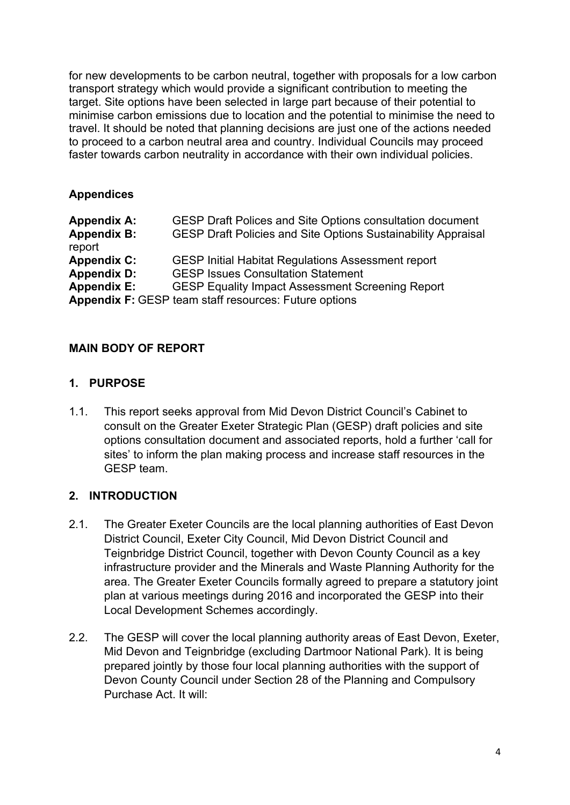for new developments to be carbon neutral, together with proposals for a low carbon transport strategy which would provide a significant contribution to meeting the target. Site options have been selected in large part because of their potential to minimise carbon emissions due to location and the potential to minimise the need to travel. It should be noted that planning decisions are just one of the actions needed to proceed to a carbon neutral area and country. Individual Councils may proceed faster towards carbon neutrality in accordance with their own individual policies.

### **Appendices**

| <b>Appendix A:</b> | <b>GESP Draft Polices and Site Options consultation document</b>     |
|--------------------|----------------------------------------------------------------------|
| <b>Appendix B:</b> | <b>GESP Draft Policies and Site Options Sustainability Appraisal</b> |
| report             |                                                                      |
| <b>Appendix C:</b> | <b>GESP Initial Habitat Regulations Assessment report</b>            |
| <b>Appendix D:</b> | <b>GESP Issues Consultation Statement</b>                            |
| <b>Appendix E:</b> | <b>GESP Equality Impact Assessment Screening Report</b>              |
|                    | <b>Appendix F: GESP team staff resources: Future options</b>         |

### **MAIN BODY OF REPORT**

### **1. PURPOSE**

1.1. This report seeks approval from Mid Devon District Council's Cabinet to consult on the Greater Exeter Strategic Plan (GESP) draft policies and site options consultation document and associated reports, hold a further 'call for sites' to inform the plan making process and increase staff resources in the GESP team.

### **2. INTRODUCTION**

- 2.1. The Greater Exeter Councils are the local planning authorities of East Devon District Council, Exeter City Council, Mid Devon District Council and Teignbridge District Council, together with Devon County Council as a key infrastructure provider and the Minerals and Waste Planning Authority for the area. The Greater Exeter Councils formally agreed to prepare a statutory joint plan at various meetings during 2016 and incorporated the GESP into their Local Development Schemes accordingly.
- 2.2. The GESP will cover the local planning authority areas of East Devon, Exeter, Mid Devon and Teignbridge (excluding Dartmoor National Park). It is being prepared jointly by those four local planning authorities with the support of Devon County Council under Section 28 of the Planning and Compulsory Purchase Act. It will: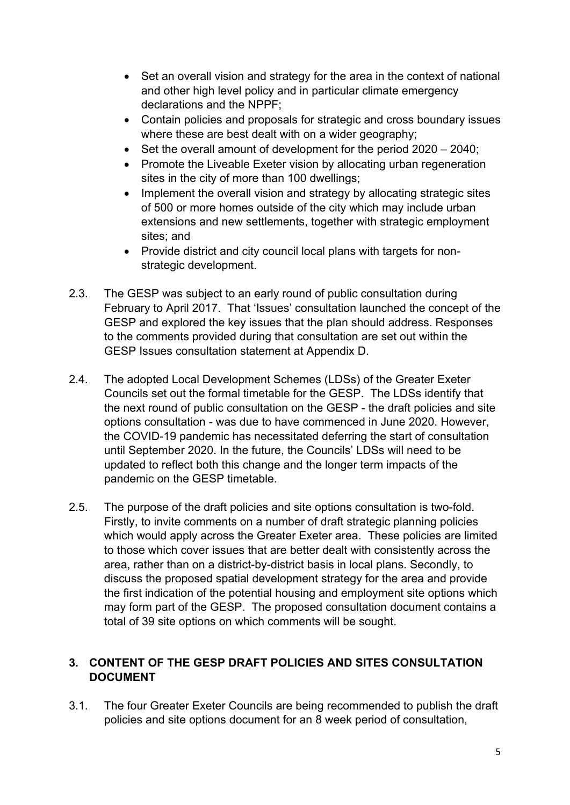- Set an overall vision and strategy for the area in the context of national and other high level policy and in particular climate emergency declarations and the NPPF;
- Contain policies and proposals for strategic and cross boundary issues where these are best dealt with on a wider geography;
- $\bullet$  Set the overall amount of development for the period 2020 2040;
- Promote the Liveable Exeter vision by allocating urban regeneration sites in the city of more than 100 dwellings;
- Implement the overall vision and strategy by allocating strategic sites of 500 or more homes outside of the city which may include urban extensions and new settlements, together with strategic employment sites; and
- Provide district and city council local plans with targets for nonstrategic development.
- 2.3. The GESP was subject to an early round of public consultation during February to April 2017. That 'Issues' consultation launched the concept of the GESP and explored the key issues that the plan should address. Responses to the comments provided during that consultation are set out within the GESP Issues consultation statement at Appendix D.
- 2.4. The adopted Local Development Schemes (LDSs) of the Greater Exeter Councils set out the formal timetable for the GESP. The LDSs identify that the next round of public consultation on the GESP - the draft policies and site options consultation - was due to have commenced in June 2020. However, the COVID-19 pandemic has necessitated deferring the start of consultation until September 2020. In the future, the Councils' LDSs will need to be updated to reflect both this change and the longer term impacts of the pandemic on the GESP timetable.
- 2.5. The purpose of the draft policies and site options consultation is two-fold. Firstly, to invite comments on a number of draft strategic planning policies which would apply across the Greater Exeter area. These policies are limited to those which cover issues that are better dealt with consistently across the area, rather than on a district-by-district basis in local plans. Secondly, to discuss the proposed spatial development strategy for the area and provide the first indication of the potential housing and employment site options which may form part of the GESP. The proposed consultation document contains a total of 39 site options on which comments will be sought.

# **3. CONTENT OF THE GESP DRAFT POLICIES AND SITES CONSULTATION DOCUMENT**

3.1. The four Greater Exeter Councils are being recommended to publish the draft policies and site options document for an 8 week period of consultation,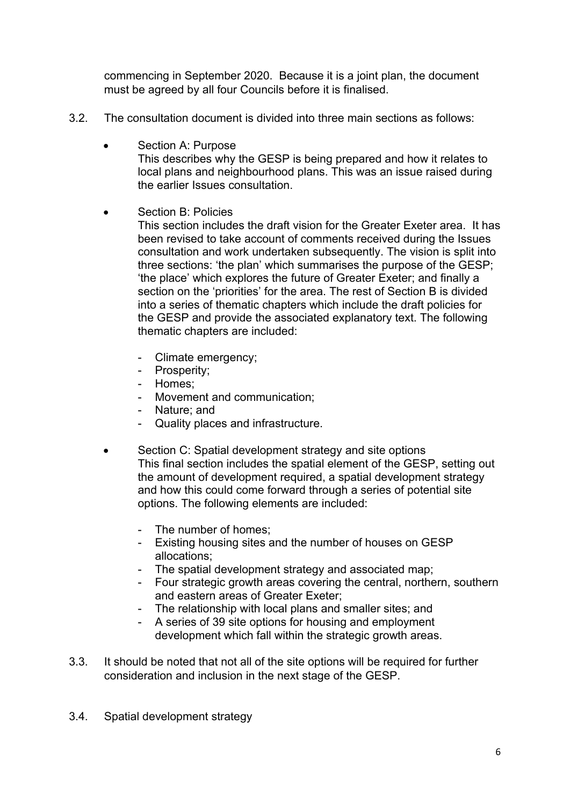commencing in September 2020. Because it is a joint plan, the document must be agreed by all four Councils before it is finalised.

- 3.2. The consultation document is divided into three main sections as follows:
	- Section A: Purpose This describes why the GESP is being prepared and how it relates to local plans and neighbourhood plans. This was an issue raised during the earlier Issues consultation.
	- Section B: Policies
		- This section includes the draft vision for the Greater Exeter area. It has been revised to take account of comments received during the Issues consultation and work undertaken subsequently. The vision is split into three sections: 'the plan' which summarises the purpose of the GESP; 'the place' which explores the future of Greater Exeter; and finally a section on the 'priorities' for the area. The rest of Section B is divided into a series of thematic chapters which include the draft policies for the GESP and provide the associated explanatory text. The following thematic chapters are included:
			- Climate emergency;
			- Prosperity;
			- Homes;
			- Movement and communication;
			- Nature; and
			- Quality places and infrastructure.
	- Section C: Spatial development strategy and site options This final section includes the spatial element of the GESP, setting out the amount of development required, a spatial development strategy and how this could come forward through a series of potential site options. The following elements are included:
		- The number of homes:
		- Existing housing sites and the number of houses on GESP allocations;
		- The spatial development strategy and associated map;
		- Four strategic growth areas covering the central, northern, southern and eastern areas of Greater Exeter;
		- The relationship with local plans and smaller sites; and
		- A series of 39 site options for housing and employment development which fall within the strategic growth areas.
- 3.3. It should be noted that not all of the site options will be required for further consideration and inclusion in the next stage of the GESP.
- 3.4. Spatial development strategy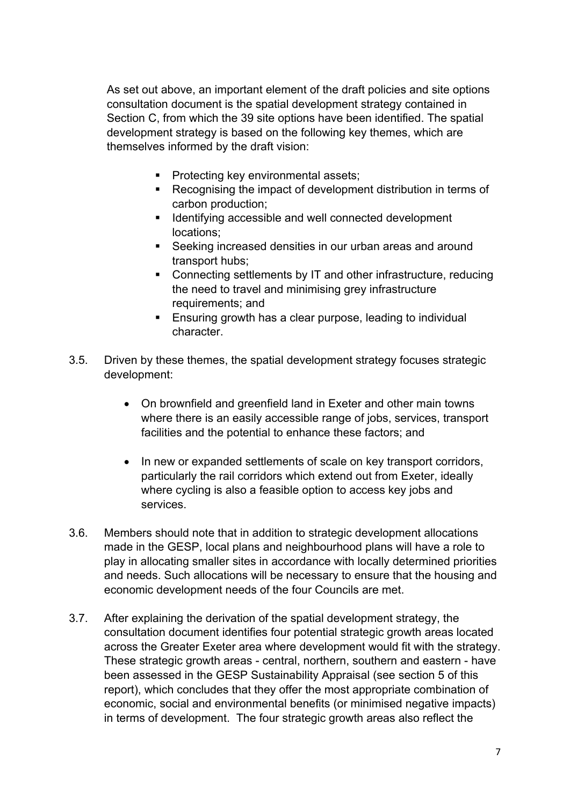As set out above, an important element of the draft policies and site options consultation document is the spatial development strategy contained in Section C, from which the 39 site options have been identified. The spatial development strategy is based on the following key themes, which are themselves informed by the draft vision:

- **Protecting key environmental assets;**
- Recognising the impact of development distribution in terms of carbon production;
- **IDENTIFYING ACCESSIBLE AND WELL CONNECTED MOVIES INCORPORT IDENTIFYING** locations;
- Seeking increased densities in our urban areas and around transport hubs;
- Connecting settlements by IT and other infrastructure, reducing the need to travel and minimising grey infrastructure requirements; and
- **Ensuring growth has a clear purpose, leading to individual** character.
- 3.5. Driven by these themes, the spatial development strategy focuses strategic development:
	- On brownfield and greenfield land in Exeter and other main towns where there is an easily accessible range of jobs, services, transport facilities and the potential to enhance these factors; and
	- In new or expanded settlements of scale on key transport corridors, particularly the rail corridors which extend out from Exeter, ideally where cycling is also a feasible option to access key jobs and services.
- 3.6. Members should note that in addition to strategic development allocations made in the GESP, local plans and neighbourhood plans will have a role to play in allocating smaller sites in accordance with locally determined priorities and needs. Such allocations will be necessary to ensure that the housing and economic development needs of the four Councils are met.
- 3.7. After explaining the derivation of the spatial development strategy, the consultation document identifies four potential strategic growth areas located across the Greater Exeter area where development would fit with the strategy. These strategic growth areas - central, northern, southern and eastern - have been assessed in the GESP Sustainability Appraisal (see section 5 of this report), which concludes that they offer the most appropriate combination of economic, social and environmental benefits (or minimised negative impacts) in terms of development. The four strategic growth areas also reflect the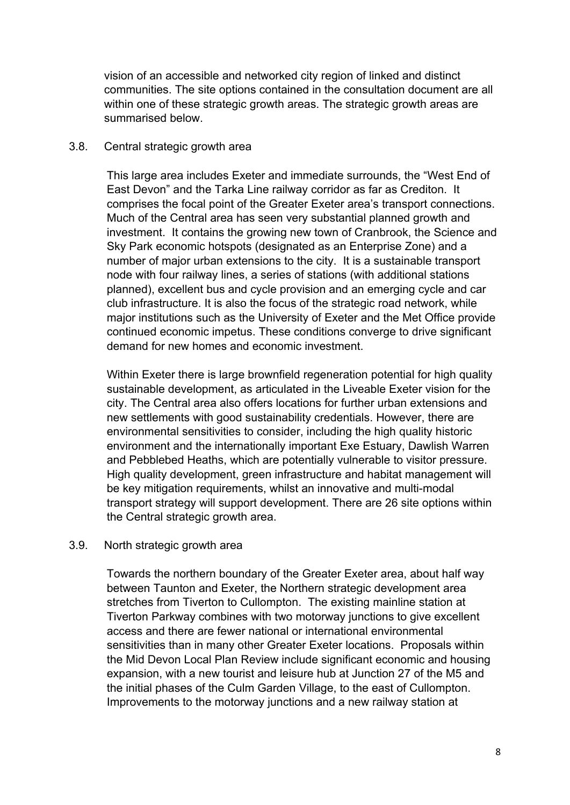vision of an accessible and networked city region of linked and distinct communities. The site options contained in the consultation document are all within one of these strategic growth areas. The strategic growth areas are summarised below.

#### 3.8. Central strategic growth area

This large area includes Exeter and immediate surrounds, the "West End of East Devon" and the Tarka Line railway corridor as far as Crediton. It comprises the focal point of the Greater Exeter area's transport connections. Much of the Central area has seen very substantial planned growth and investment. It contains the growing new town of Cranbrook, the Science and Sky Park economic hotspots (designated as an Enterprise Zone) and a number of major urban extensions to the city. It is a sustainable transport node with four railway lines, a series of stations (with additional stations planned), excellent bus and cycle provision and an emerging cycle and car club infrastructure. It is also the focus of the strategic road network, while major institutions such as the University of Exeter and the Met Office provide continued economic impetus. These conditions converge to drive significant demand for new homes and economic investment.

Within Exeter there is large brownfield regeneration potential for high quality sustainable development, as articulated in the Liveable Exeter vision for the city. The Central area also offers locations for further urban extensions and new settlements with good sustainability credentials. However, there are environmental sensitivities to consider, including the high quality historic environment and the internationally important Exe Estuary, Dawlish Warren and Pebblebed Heaths, which are potentially vulnerable to visitor pressure. High quality development, green infrastructure and habitat management will be key mitigation requirements, whilst an innovative and multi-modal transport strategy will support development. There are 26 site options within the Central strategic growth area.

#### 3.9. North strategic growth area

Towards the northern boundary of the Greater Exeter area, about half way between Taunton and Exeter, the Northern strategic development area stretches from Tiverton to Cullompton. The existing mainline station at Tiverton Parkway combines with two motorway junctions to give excellent access and there are fewer national or international environmental sensitivities than in many other Greater Exeter locations. Proposals within the Mid Devon Local Plan Review include significant economic and housing expansion, with a new tourist and leisure hub at Junction 27 of the M5 and the initial phases of the Culm Garden Village, to the east of Cullompton. Improvements to the motorway junctions and a new railway station at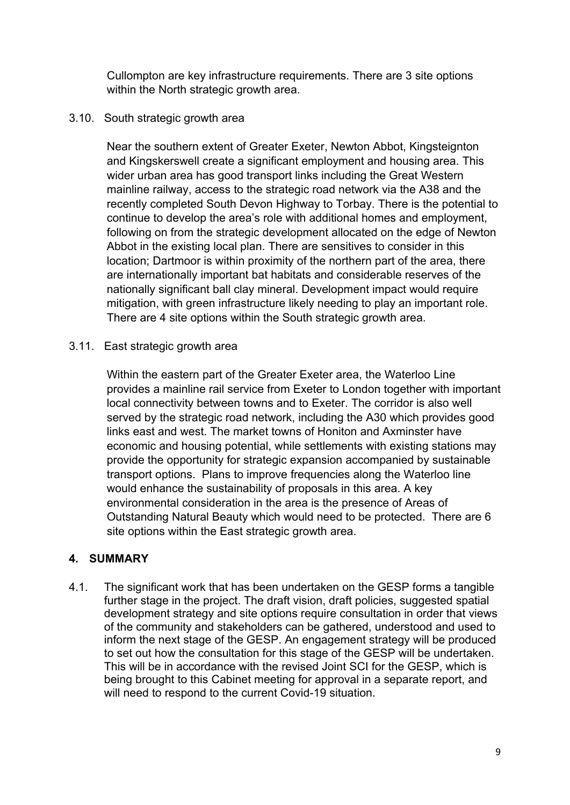Cullompton are key infrastructure requirements. There are 3 site options within the North strategic growth area.

#### 3.10. South strategic growth area

Near the southern extent of Greater Exeter, Newton Abbot, Kingsteignton and Kingskerswell create a significant employment and housing area. This wider urban area has good transport links including the Great Western mainline railway, access to the strategic road network via the A38 and the recently completed South Devon Highway to Torbay. There is the potential to continue to develop the area's role with additional homes and employment, following on from the strategic development allocated on the edge of Newton Abbot in the existing local plan. There are sensitives to consider in this location; Dartmoor is within proximity of the northern part of the area, there are internationally important bat habitats and considerable reserves of the nationally significant ball clay mineral. Development impact would require mitigation, with green infrastructure likely needing to play an important role. There are 4 site options within the South strategic growth area.

3.11. East strategic growth area

Within the eastern part of the Greater Exeter area, the Waterloo Line provides a mainline rail service from Exeter to London together with important local connectivity between towns and to Exeter. The corridor is also well served by the strategic road network, including the A30 which provides good links east and west. The market towns of Honiton and Axminster have economic and housing potential, while settlements with existing stations may provide the opportunity for strategic expansion accompanied by sustainable transport options. Plans to improve frequencies along the Waterloo line would enhance the sustainability of proposals in this area. A key environmental consideration in the area is the presence of Areas of Outstanding Natural Beauty which would need to be protected. There are 6 site options within the East strategic growth area.

### **4. SUMMARY**

4.1. The significant work that has been undertaken on the GESP forms a tangible further stage in the project. The draft vision, draft policies, suggested spatial development strategy and site options require consultation in order that views of the community and stakeholders can be gathered, understood and used to inform the next stage of the GESP. An engagement strategy will be produced to set out how the consultation for this stage of the GESP will be undertaken. This will be in accordance with the revised Joint SCI for the GESP, which is being brought to this Cabinet meeting for approval in a separate report, and will need to respond to the current Covid-19 situation.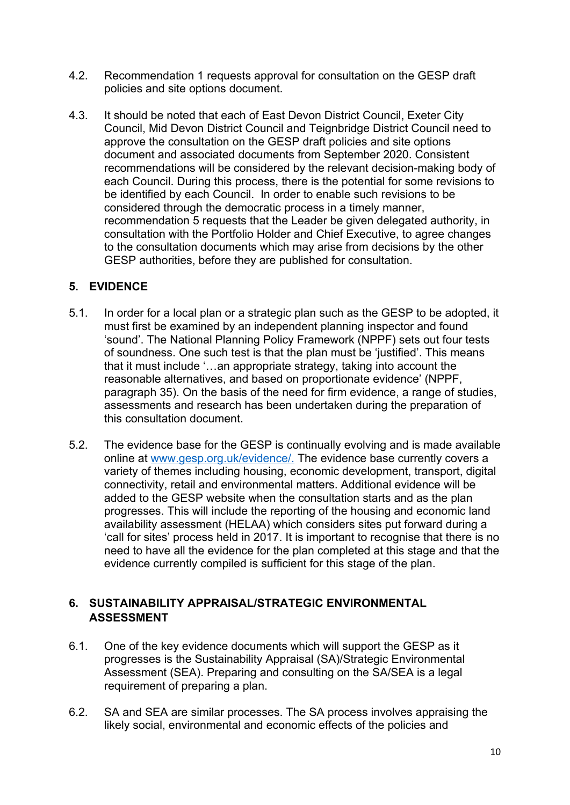- 4.2. Recommendation 1 requests approval for consultation on the GESP draft policies and site options document.
- 4.3. It should be noted that each of East Devon District Council, Exeter City Council, Mid Devon District Council and Teignbridge District Council need to approve the consultation on the GESP draft policies and site options document and associated documents from September 2020. Consistent recommendations will be considered by the relevant decision-making body of each Council. During this process, there is the potential for some revisions to be identified by each Council. In order to enable such revisions to be considered through the democratic process in a timely manner, recommendation 5 requests that the Leader be given delegated authority, in consultation with the Portfolio Holder and Chief Executive, to agree changes to the consultation documents which may arise from decisions by the other GESP authorities, before they are published for consultation.

## **5. EVIDENCE**

- 5.1. In order for a local plan or a strategic plan such as the GESP to be adopted, it must first be examined by an independent planning inspector and found 'sound'. The National Planning Policy Framework (NPPF) sets out four tests of soundness. One such test is that the plan must be 'justified'. This means that it must include '…an appropriate strategy, taking into account the reasonable alternatives, and based on proportionate evidence' (NPPF, paragraph 35). On the basis of the need for firm evidence, a range of studies, assessments and research has been undertaken during the preparation of this consultation document.
- 5.2. The evidence base for the GESP is continually evolving and is made available online at [www.gesp.org.uk/evidence/](http://www.gesp.org.uk/evidence/). The evidence base currently covers a variety of themes including housing, economic development, transport, digital connectivity, retail and environmental matters. Additional evidence will be added to the GESP website when the consultation starts and as the plan progresses. This will include the reporting of the housing and economic land availability assessment (HELAA) which considers sites put forward during a 'call for sites' process held in 2017. It is important to recognise that there is no need to have all the evidence for the plan completed at this stage and that the evidence currently compiled is sufficient for this stage of the plan.

### **6. SUSTAINABILITY APPRAISAL/STRATEGIC ENVIRONMENTAL ASSESSMENT**

- 6.1. One of the key evidence documents which will support the GESP as it progresses is the Sustainability Appraisal (SA)/Strategic Environmental Assessment (SEA). Preparing and consulting on the SA/SEA is a legal requirement of preparing a plan.
- 6.2. SA and SEA are similar processes. The SA process involves appraising the likely social, environmental and economic effects of the policies and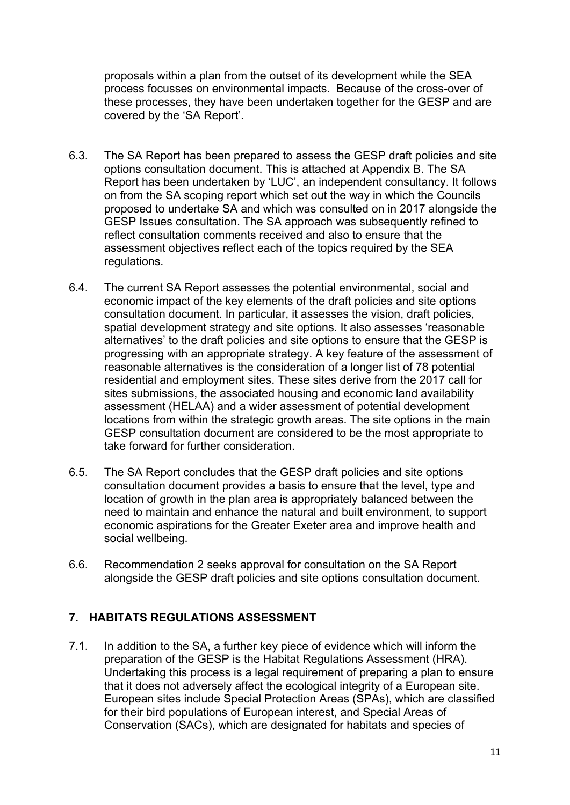proposals within a plan from the outset of its development while the SEA process focusses on environmental impacts. Because of the cross-over of these processes, they have been undertaken together for the GESP and are covered by the 'SA Report'.

- 6.3. The SA Report has been prepared to assess the GESP draft policies and site options consultation document. This is attached at Appendix B. The SA Report has been undertaken by 'LUC', an independent consultancy. It follows on from the SA scoping report which set out the way in which the Councils proposed to undertake SA and which was consulted on in 2017 alongside the GESP Issues consultation. The SA approach was subsequently refined to reflect consultation comments received and also to ensure that the assessment objectives reflect each of the topics required by the SEA regulations.
- 6.4. The current SA Report assesses the potential environmental, social and economic impact of the key elements of the draft policies and site options consultation document. In particular, it assesses the vision, draft policies, spatial development strategy and site options. It also assesses 'reasonable alternatives' to the draft policies and site options to ensure that the GESP is progressing with an appropriate strategy. A key feature of the assessment of reasonable alternatives is the consideration of a longer list of 78 potential residential and employment sites. These sites derive from the 2017 call for sites submissions, the associated housing and economic land availability assessment (HELAA) and a wider assessment of potential development locations from within the strategic growth areas. The site options in the main GESP consultation document are considered to be the most appropriate to take forward for further consideration.
- 6.5. The SA Report concludes that the GESP draft policies and site options consultation document provides a basis to ensure that the level, type and location of growth in the plan area is appropriately balanced between the need to maintain and enhance the natural and built environment, to support economic aspirations for the Greater Exeter area and improve health and social wellbeing.
- 6.6. Recommendation 2 seeks approval for consultation on the SA Report alongside the GESP draft policies and site options consultation document.

### **7. HABITATS REGULATIONS ASSESSMENT**

7.1. In addition to the SA, a further key piece of evidence which will inform the preparation of the GESP is the Habitat Regulations Assessment (HRA). Undertaking this process is a legal requirement of preparing a plan to ensure that it does not adversely affect the ecological integrity of a European site. European sites include Special Protection Areas (SPAs), which are classified for their bird populations of European interest, and Special Areas of Conservation (SACs), which are designated for habitats and species of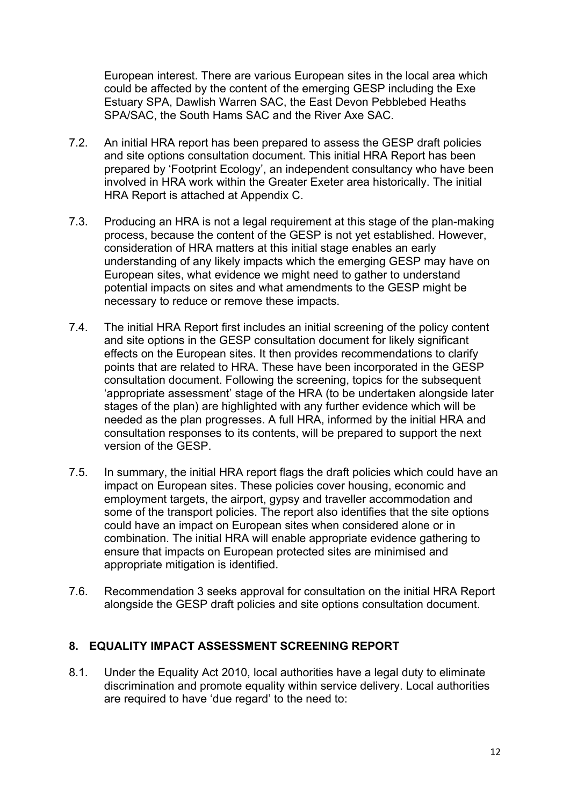European interest. There are various European sites in the local area which could be affected by the content of the emerging GESP including the Exe Estuary SPA, Dawlish Warren SAC, the East Devon Pebblebed Heaths SPA/SAC, the South Hams SAC and the River Axe SAC.

- 7.2. An initial HRA report has been prepared to assess the GESP draft policies and site options consultation document. This initial HRA Report has been prepared by 'Footprint Ecology', an independent consultancy who have been involved in HRA work within the Greater Exeter area historically. The initial HRA Report is attached at Appendix C.
- 7.3. Producing an HRA is not a legal requirement at this stage of the plan-making process, because the content of the GESP is not yet established. However, consideration of HRA matters at this initial stage enables an early understanding of any likely impacts which the emerging GESP may have on European sites, what evidence we might need to gather to understand potential impacts on sites and what amendments to the GESP might be necessary to reduce or remove these impacts.
- 7.4. The initial HRA Report first includes an initial screening of the policy content and site options in the GESP consultation document for likely significant effects on the European sites. It then provides recommendations to clarify points that are related to HRA. These have been incorporated in the GESP consultation document. Following the screening, topics for the subsequent 'appropriate assessment' stage of the HRA (to be undertaken alongside later stages of the plan) are highlighted with any further evidence which will be needed as the plan progresses. A full HRA, informed by the initial HRA and consultation responses to its contents, will be prepared to support the next version of the GESP.
- 7.5. In summary, the initial HRA report flags the draft policies which could have an impact on European sites. These policies cover housing, economic and employment targets, the airport, gypsy and traveller accommodation and some of the transport policies. The report also identifies that the site options could have an impact on European sites when considered alone or in combination. The initial HRA will enable appropriate evidence gathering to ensure that impacts on European protected sites are minimised and appropriate mitigation is identified.
- 7.6. Recommendation 3 seeks approval for consultation on the initial HRA Report alongside the GESP draft policies and site options consultation document.

### **8. EQUALITY IMPACT ASSESSMENT SCREENING REPORT**

8.1. Under the Equality Act 2010, local authorities have a legal duty to eliminate discrimination and promote equality within service delivery. Local authorities are required to have 'due regard' to the need to: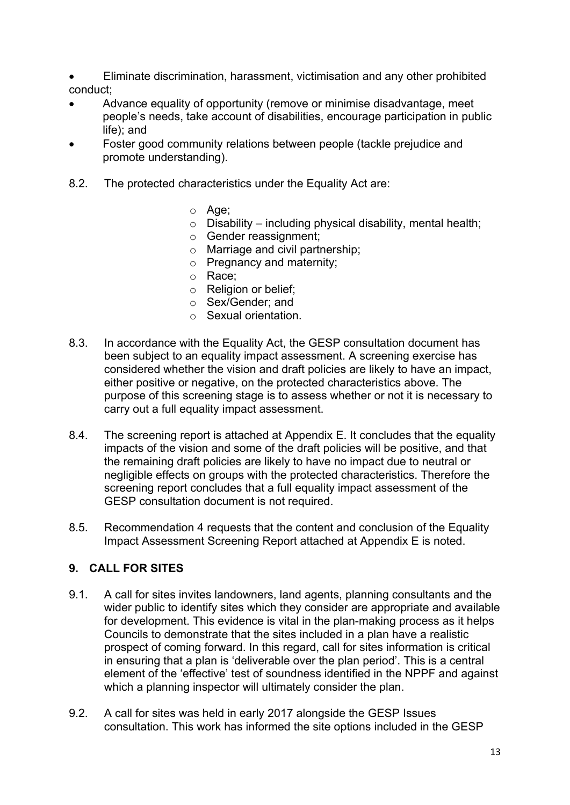Eliminate discrimination, harassment, victimisation and any other prohibited conduct;

- Advance equality of opportunity (remove or minimise disadvantage, meet people's needs, take account of disabilities, encourage participation in public life); and
- Foster good community relations between people (tackle prejudice and promote understanding).
- 8.2. The protected characteristics under the Equality Act are:
	- o Age;
	- $\circ$  Disability including physical disability, mental health;
	- o Gender reassignment;
	- o Marriage and civil partnership;
	- o Pregnancy and maternity;
	- o Race;
	- o Religion or belief;
	- o Sex/Gender; and
	- o Sexual orientation.
- 8.3. In accordance with the Equality Act, the GESP consultation document has been subject to an equality impact assessment. A screening exercise has considered whether the vision and draft policies are likely to have an impact, either positive or negative, on the protected characteristics above. The purpose of this screening stage is to assess whether or not it is necessary to carry out a full equality impact assessment.
- 8.4. The screening report is attached at Appendix E. It concludes that the equality impacts of the vision and some of the draft policies will be positive, and that the remaining draft policies are likely to have no impact due to neutral or negligible effects on groups with the protected characteristics. Therefore the screening report concludes that a full equality impact assessment of the GESP consultation document is not required.
- 8.5. Recommendation 4 requests that the content and conclusion of the Equality Impact Assessment Screening Report attached at Appendix E is noted.

### **9. CALL FOR SITES**

- 9.1. A call for sites invites landowners, land agents, planning consultants and the wider public to identify sites which they consider are appropriate and available for development. This evidence is vital in the plan-making process as it helps Councils to demonstrate that the sites included in a plan have a realistic prospect of coming forward. In this regard, call for sites information is critical in ensuring that a plan is 'deliverable over the plan period'. This is a central element of the 'effective' test of soundness identified in the NPPF and against which a planning inspector will ultimately consider the plan.
- 9.2. A call for sites was held in early 2017 alongside the GESP Issues consultation. This work has informed the site options included in the GESP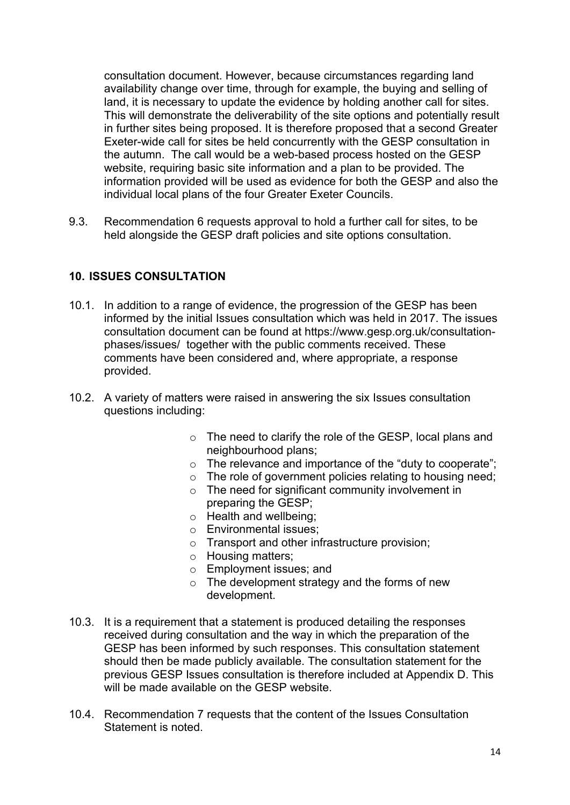consultation document. However, because circumstances regarding land availability change over time, through for example, the buying and selling of land, it is necessary to update the evidence by holding another call for sites. This will demonstrate the deliverability of the site options and potentially result in further sites being proposed. It is therefore proposed that a second Greater Exeter-wide call for sites be held concurrently with the GESP consultation in the autumn. The call would be a web-based process hosted on the GESP website, requiring basic site information and a plan to be provided. The information provided will be used as evidence for both the GESP and also the individual local plans of the four Greater Exeter Councils.

9.3. Recommendation 6 requests approval to hold a further call for sites, to be held alongside the GESP draft policies and site options consultation.

### **10. ISSUES CONSULTATION**

- 10.1. In addition to a range of evidence, the progression of the GESP has been informed by the initial Issues consultation which was held in 2017. The issues consultation document can be found at [https://www.gesp.org.uk/consultation](https://www.gesp.org.uk/consultation-phases/issues/)[phases/issues/](https://www.gesp.org.uk/consultation-phases/issues/) together with the public comments received. These comments have been considered and, where appropriate, a response provided.
- 10.2. A variety of matters were raised in answering the six Issues consultation questions including:
	- o The need to clarify the role of the GESP, local plans and neighbourhood plans;
	- o The relevance and importance of the "duty to cooperate";
	- $\circ$  The role of government policies relating to housing need;
	- $\circ$  The need for significant community involvement in preparing the GESP;
	- o Health and wellbeing;
	- o Environmental issues;
	- o Transport and other infrastructure provision;
	- o Housing matters;
	- o Employment issues; and
	- $\circ$  The development strategy and the forms of new development.
- 10.3. It is a requirement that a statement is produced detailing the responses received during consultation and the way in which the preparation of the GESP has been informed by such responses. This consultation statement should then be made publicly available. The consultation statement for the previous GESP Issues consultation is therefore included at Appendix D. This will be made available on the GESP website.
- 10.4. Recommendation 7 requests that the content of the Issues Consultation Statement is noted.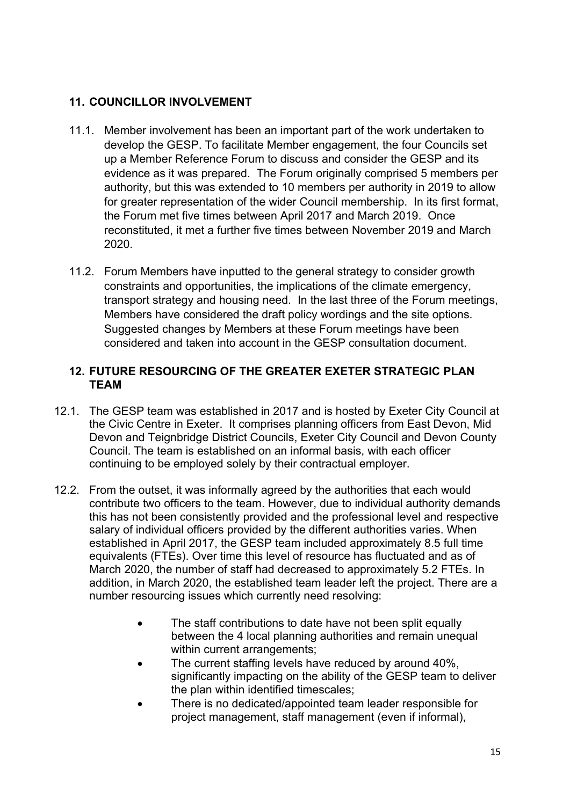## **11. COUNCILLOR INVOLVEMENT**

- 11.1. Member involvement has been an important part of the work undertaken to develop the GESP. To facilitate Member engagement, the four Councils set up a Member Reference Forum to discuss and consider the GESP and its evidence as it was prepared. The Forum originally comprised 5 members per authority, but this was extended to 10 members per authority in 2019 to allow for greater representation of the wider Council membership. In its first format, the Forum met five times between April 2017 and March 2019. Once reconstituted, it met a further five times between November 2019 and March 2020.
- 11.2. Forum Members have inputted to the general strategy to consider growth constraints and opportunities, the implications of the climate emergency, transport strategy and housing need. In the last three of the Forum meetings, Members have considered the draft policy wordings and the site options. Suggested changes by Members at these Forum meetings have been considered and taken into account in the GESP consultation document.

### **12. FUTURE RESOURCING OF THE GREATER EXETER STRATEGIC PLAN TEAM**

- 12.1. The GESP team was established in 2017 and is hosted by Exeter City Council at the Civic Centre in Exeter. It comprises planning officers from East Devon, Mid Devon and Teignbridge District Councils, Exeter City Council and Devon County Council. The team is established on an informal basis, with each officer continuing to be employed solely by their contractual employer.
- 12.2. From the outset, it was informally agreed by the authorities that each would contribute two officers to the team. However, due to individual authority demands this has not been consistently provided and the professional level and respective salary of individual officers provided by the different authorities varies. When established in April 2017, the GESP team included approximately 8.5 full time equivalents (FTEs). Over time this level of resource has fluctuated and as of March 2020, the number of staff had decreased to approximately 5.2 FTEs. In addition, in March 2020, the established team leader left the project. There are a number resourcing issues which currently need resolving:
	- The staff contributions to date have not been split equally between the 4 local planning authorities and remain unequal within current arrangements:
	- The current staffing levels have reduced by around 40%, significantly impacting on the ability of the GESP team to deliver the plan within identified timescales;
	- There is no dedicated/appointed team leader responsible for project management, staff management (even if informal),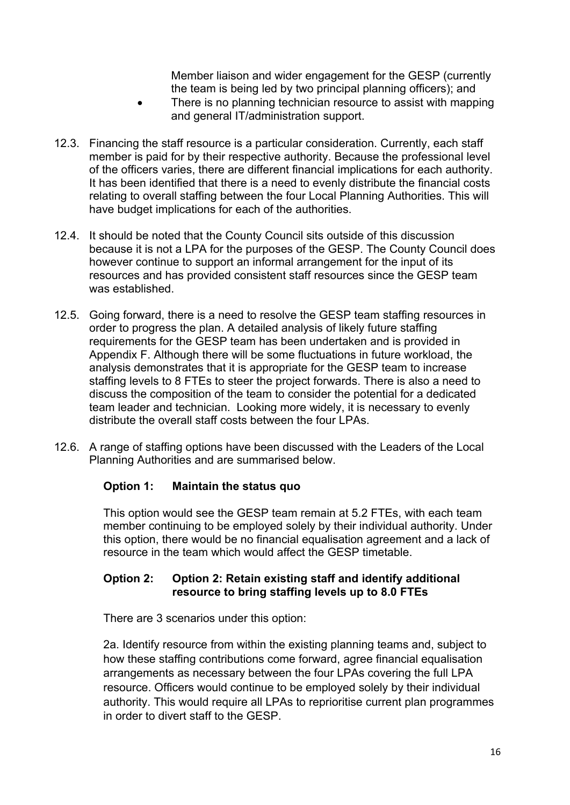Member liaison and wider engagement for the GESP (currently the team is being led by two principal planning officers); and

- There is no planning technician resource to assist with mapping and general IT/administration support.
- 12.3. Financing the staff resource is a particular consideration. Currently, each staff member is paid for by their respective authority. Because the professional level of the officers varies, there are different financial implications for each authority. It has been identified that there is a need to evenly distribute the financial costs relating to overall staffing between the four Local Planning Authorities. This will have budget implications for each of the authorities.
- 12.4. It should be noted that the County Council sits outside of this discussion because it is not a LPA for the purposes of the GESP. The County Council does however continue to support an informal arrangement for the input of its resources and has provided consistent staff resources since the GESP team was established.
- 12.5. Going forward, there is a need to resolve the GESP team staffing resources in order to progress the plan. A detailed analysis of likely future staffing requirements for the GESP team has been undertaken and is provided in Appendix F. Although there will be some fluctuations in future workload, the analysis demonstrates that it is appropriate for the GESP team to increase staffing levels to 8 FTEs to steer the project forwards. There is also a need to discuss the composition of the team to consider the potential for a dedicated team leader and technician. Looking more widely, it is necessary to evenly distribute the overall staff costs between the four LPAs.
- 12.6. A range of staffing options have been discussed with the Leaders of the Local Planning Authorities and are summarised below.

### **Option 1: Maintain the status quo**

This option would see the GESP team remain at 5.2 FTEs, with each team member continuing to be employed solely by their individual authority. Under this option, there would be no financial equalisation agreement and a lack of resource in the team which would affect the GESP timetable.

#### **Option 2: Option 2: Retain existing staff and identify additional resource to bring staffing levels up to 8.0 FTEs**

There are 3 scenarios under this option:

2a. Identify resource from within the existing planning teams and, subject to how these staffing contributions come forward, agree financial equalisation arrangements as necessary between the four LPAs covering the full LPA resource. Officers would continue to be employed solely by their individual authority. This would require all LPAs to reprioritise current plan programmes in order to divert staff to the GESP.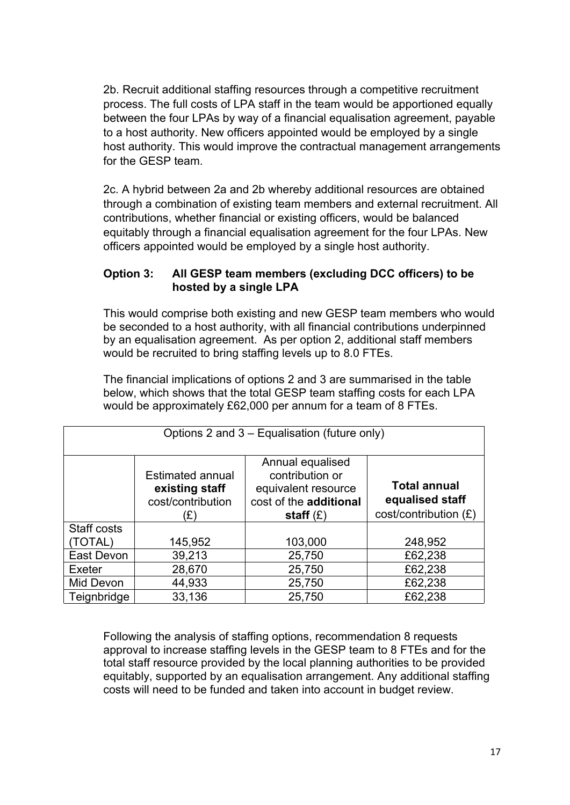2b. Recruit additional staffing resources through a competitive recruitment process. The full costs of LPA staff in the team would be apportioned equally between the four LPAs by way of a financial equalisation agreement, payable to a host authority. New officers appointed would be employed by a single host authority. This would improve the contractual management arrangements for the GESP team.

2c. A hybrid between 2a and 2b whereby additional resources are obtained through a combination of existing team members and external recruitment. All contributions, whether financial or existing officers, would be balanced equitably through a financial equalisation agreement for the four LPAs. New officers appointed would be employed by a single host authority.

### **Option 3: All GESP team members (excluding DCC officers) to be hosted by a single LPA**

This would comprise both existing and new GESP team members who would be seconded to a host authority, with all financial contributions underpinned by an equalisation agreement. As per option 2, additional staff members would be recruited to bring staffing levels up to 8.0 FTEs.

The financial implications of options 2 and 3 are summarised in the table below, which shows that the total GESP team staffing costs for each LPA would be approximately £62,000 per annum for a team of 8 FTEs.

| Options 2 and 3 – Equalisation (future only) |                                                                       |                                                                                                     |                                                                 |  |  |
|----------------------------------------------|-----------------------------------------------------------------------|-----------------------------------------------------------------------------------------------------|-----------------------------------------------------------------|--|--|
|                                              | <b>Estimated annual</b><br>existing staff<br>cost/contribution<br>(£) | Annual equalised<br>contribution or<br>equivalent resource<br>cost of the additional<br>staff $(E)$ | <b>Total annual</b><br>equalised staff<br>cost/contribution (£) |  |  |
| Staff costs                                  |                                                                       |                                                                                                     |                                                                 |  |  |
| (TOTAL)                                      | 145,952                                                               | 103,000                                                                                             | 248,952                                                         |  |  |
| East Devon                                   | 39,213                                                                | 25,750                                                                                              | £62,238                                                         |  |  |
| Exeter                                       | 28,670                                                                | 25,750                                                                                              | £62,238                                                         |  |  |
| Mid Devon                                    | 44,933                                                                | 25,750                                                                                              | £62,238                                                         |  |  |
| Teignbridge                                  | 33,136                                                                | 25,750                                                                                              | £62,238                                                         |  |  |

Following the analysis of staffing options, recommendation 8 requests approval to increase staffing levels in the GESP team to 8 FTEs and for the total staff resource provided by the local planning authorities to be provided equitably, supported by an equalisation arrangement. Any additional staffing costs will need to be funded and taken into account in budget review.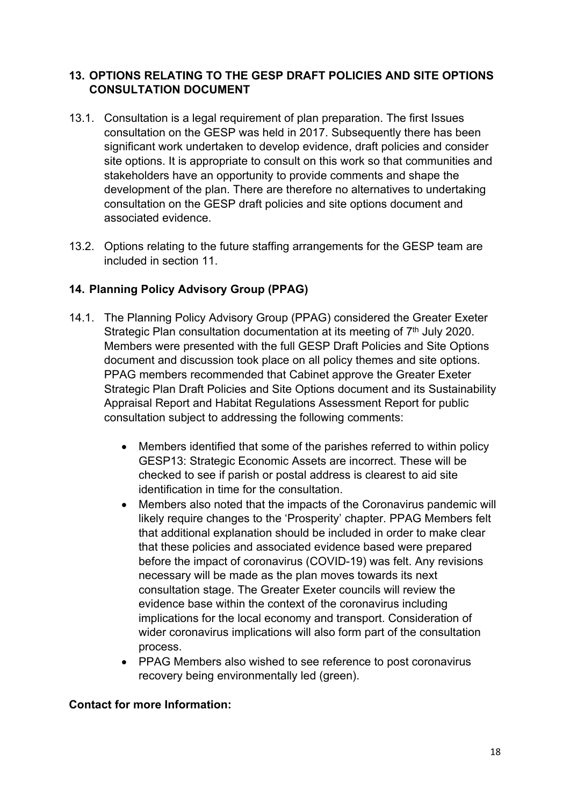## **13. OPTIONS RELATING TO THE GESP DRAFT POLICIES AND SITE OPTIONS CONSULTATION DOCUMENT**

- 13.1. Consultation is a legal requirement of plan preparation. The first Issues consultation on the GESP was held in 2017. Subsequently there has been significant work undertaken to develop evidence, draft policies and consider site options. It is appropriate to consult on this work so that communities and stakeholders have an opportunity to provide comments and shape the development of the plan. There are therefore no alternatives to undertaking consultation on the GESP draft policies and site options document and associated evidence.
- 13.2. Options relating to the future staffing arrangements for the GESP team are included in section 11.

# **14. Planning Policy Advisory Group (PPAG)**

- 14.1. The Planning Policy Advisory Group (PPAG) considered the Greater Exeter Strategic Plan consultation documentation at its meeting of 7<sup>th</sup> July 2020. Members were presented with the full GESP Draft Policies and Site Options document and discussion took place on all policy themes and site options. PPAG members recommended that Cabinet approve the Greater Exeter Strategic Plan Draft Policies and Site Options document and its Sustainability Appraisal Report and Habitat Regulations Assessment Report for public consultation subject to addressing the following comments:
	- Members identified that some of the parishes referred to within policy GESP13: Strategic Economic Assets are incorrect. These will be checked to see if parish or postal address is clearest to aid site identification in time for the consultation.
	- Members also noted that the impacts of the Coronavirus pandemic will likely require changes to the 'Prosperity' chapter. PPAG Members felt that additional explanation should be included in order to make clear that these policies and associated evidence based were prepared before the impact of coronavirus (COVID-19) was felt. Any revisions necessary will be made as the plan moves towards its next consultation stage. The Greater Exeter councils will review the evidence base within the context of the coronavirus including implications for the local economy and transport. Consideration of wider coronavirus implications will also form part of the consultation process.
	- PPAG Members also wished to see reference to post coronavirus recovery being environmentally led (green).

#### **Contact for more Information:**